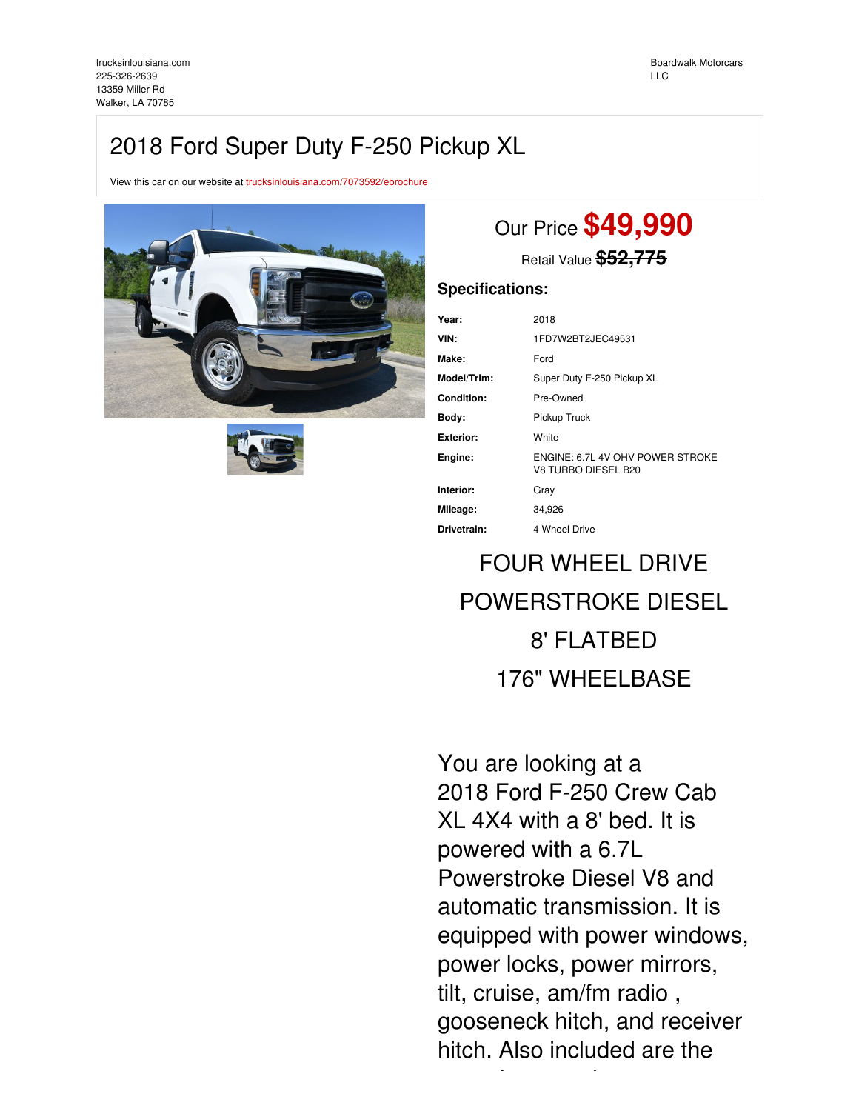## 2018 Ford Super Duty F-250 Pickup XL

View this car on our website at [trucksinlouisiana.com/7073592/ebrochure](https://trucksinlouisiana.com/vehicle/7073592/2018-ford-super-duty-f-250-pickup-xl-walker-la-70785/7073592/ebrochure)





# Our Price **\$49,990**

Retail Value **\$52,775**

## **Specifications:**

| Year:            | 2018                                                    |
|------------------|---------------------------------------------------------|
| VIN:             | 1FD7W2BT2JEC49531                                       |
| Make:            | Ford                                                    |
| Model/Trim:      | Super Duty F-250 Pickup XL                              |
| Condition:       | Pre-Owned                                               |
| Body:            | Pickup Truck                                            |
| <b>Exterior:</b> | White                                                   |
| Engine:          | ENGINE: 6.7L 4V OHV POWER STROKE<br>V8 TURBO DIESEL B20 |
| Interior:        | Gray                                                    |
| Mileage:         | 34,926                                                  |
| Drivetrain:      | 4 Wheel Drive                                           |

# FOUR WHEEL DRIVE POWERSTROKE DIESEL 8' FLATBED 176" WHEELBASE

You are looking at a 2018 Ford F-250 Crew Cab XL 4X4 with a 8' bed. It is powered with a 6.7L Powerstroke Diesel V8 and automatic transmission. It is equipped with power windows, power locks, power mirrors, tilt, cruise, am/fm radio , gooseneck hitch, and receiver hitch. Also included are the

owner's manuals.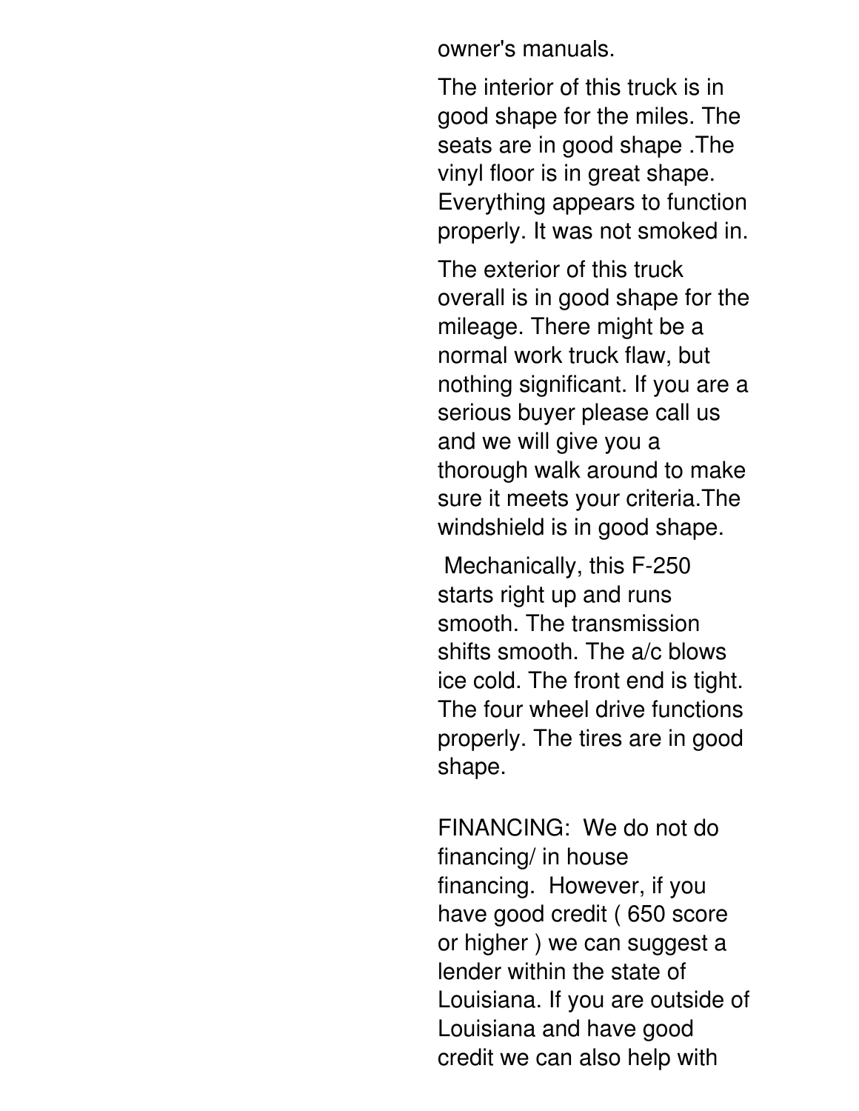owner's manuals.

The interior of this truck is in good shape for the miles. The seats are in good shape .The vinyl floor is in great shape. Everything appears to function properly. It was not smoked in.

The exterior of this truck overall is in good shape for the mileage. There might be a normal work truck flaw, but nothing significant. If you are a serious buyer please call us and we will give you a thorough walk around to make sure it meets your criteria.The windshield is in good shape.

Mechanically, this F-250 starts right up and runs smooth. The transmission shifts smooth. The a/c blows ice cold. The front end is tight. The four wheel drive functions properly. The tires are in good shape.

FINANCING: We do not do financing/ in house financing. However, if you have good credit ( 650 score or higher ) we can suggest a lender within the state of Louisiana. If you are outside of Louisiana and have good credit we can also help with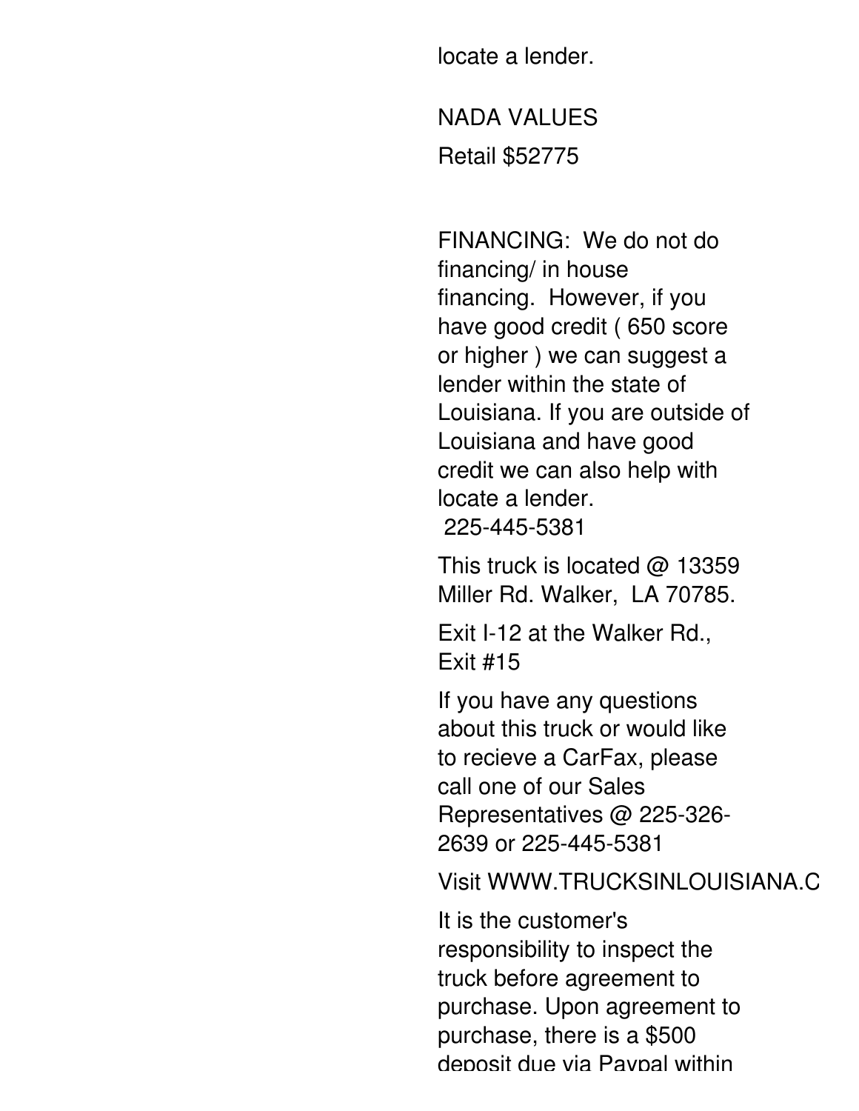locate a lender.

credit we can also help with

NADA VALUES Retail \$52775

FINANCING: We do not do financing/ in house financing. However, if you have good credit ( 650 score or higher ) we can suggest a lender within the state of Louisiana. If you are outside of Louisiana and have good credit we can also help with locate a lender. 225-445-5381

This truck is located  $\omega$  13359 Miller Rd. Walker, LA 70785.

Exit I-12 at the Walker Rd., Exit #15

If you have any questions about this truck or would like to recieve a CarFax, please call one of our Sales Representatives @ 225-326- 2639 or 225-445-5381

Visit WWW.TRUCKSINLOUISIANA.C

It is the customer's responsibility to inspect the truck before agreement to purchase. Upon agreement to purchase, there is a \$500 deposit due via Paypal within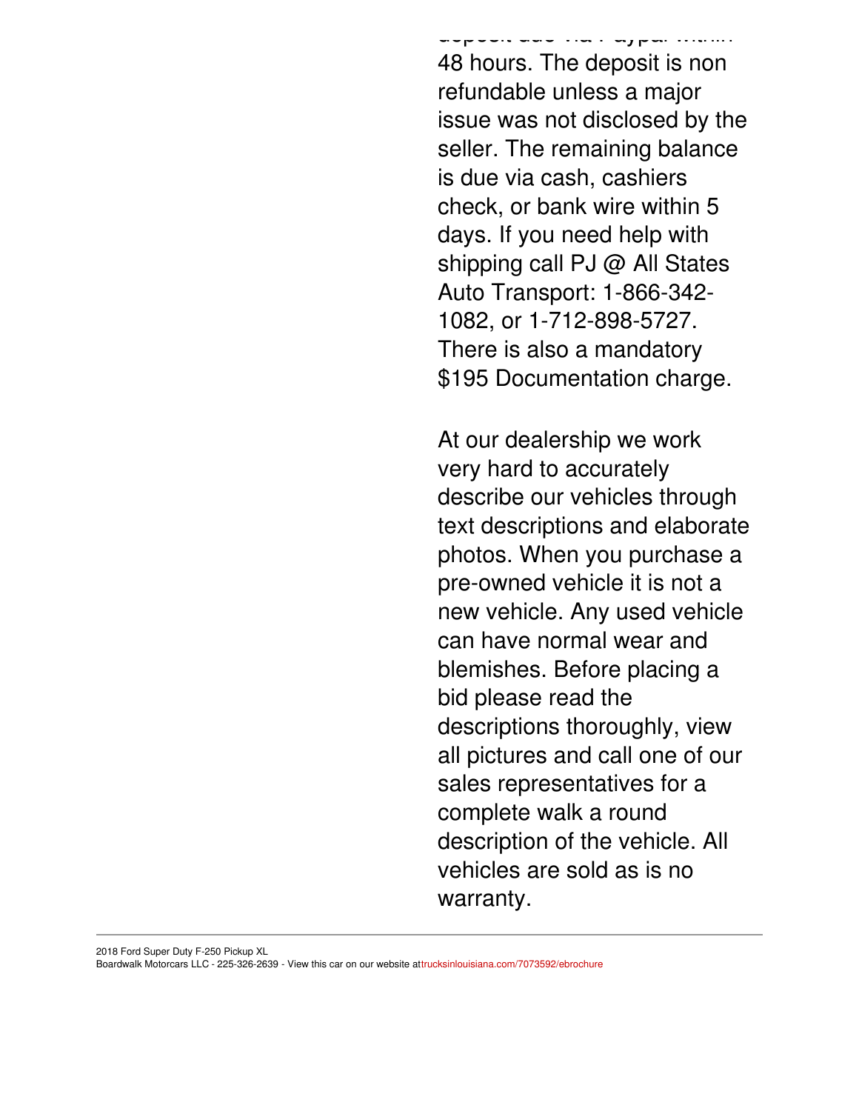die deur via Paypal with de 48 hours. The deposit is non refundable unless a major issue was not disclosed by the seller. The remaining balance is due via cash, cashiers check, or bank wire within 5 days. If you need help with shipping call PJ @ All States Auto Transport: 1-866-342- 1082, or 1-712-898-5727. There is also a mandatory \$195 Documentation charge.

At our dealership we work very hard to accurately describe our vehicles through text descriptions and elaborate photos. When you purchase a pre-owned vehicle it is not a new vehicle. Any used vehicle can have normal wear and blemishes. Before placing a bid please read the descriptions thoroughly, view all pictures and call one of our sales representatives for a complete walk a round description of the vehicle. All vehicles are sold as is no warranty.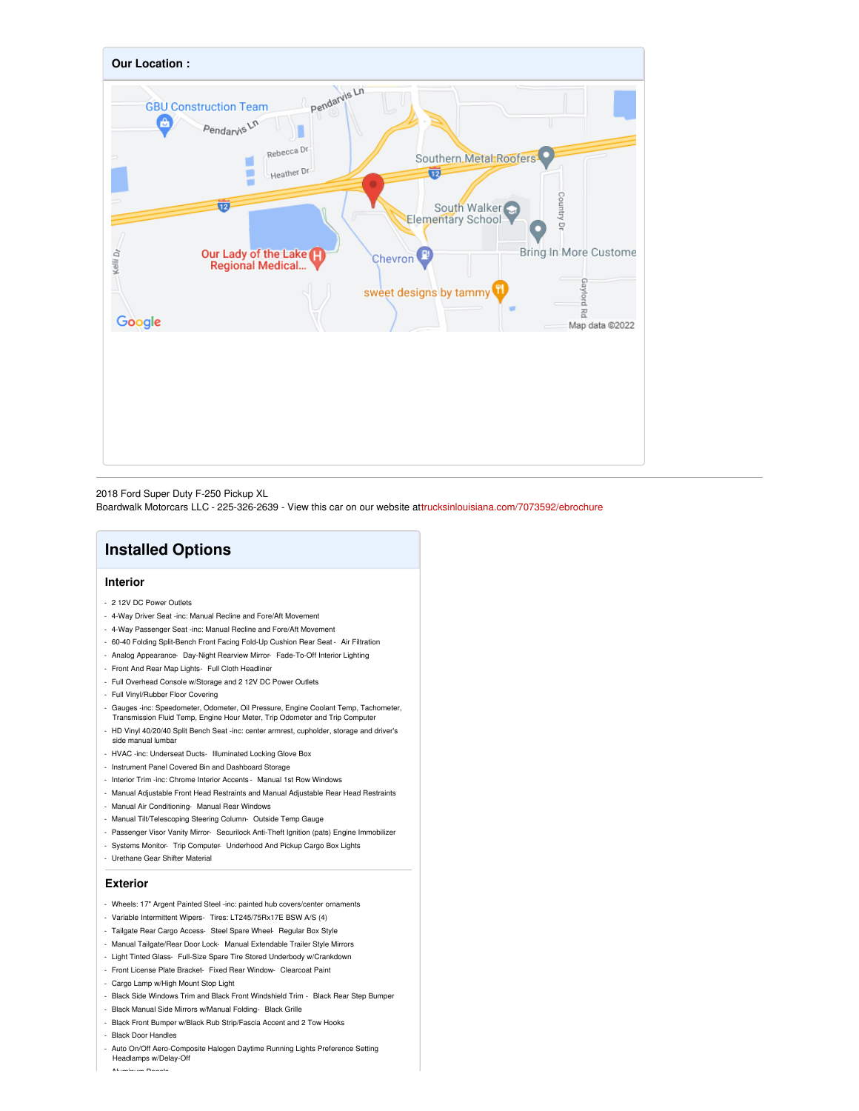

2018 Ford Super Duty F-250 Pickup XL Boardwalk Motorcars LLC - 225-326-2639 - View this car on our website at[trucksinlouisiana.com/7073592/ebrochure](https://trucksinlouisiana.com/vehicle/7073592/2018-ford-super-duty-f-250-pickup-xl-walker-la-70785/7073592/ebrochure)

## **Installed Options**

#### **Interior**

- 2 12V DC Power Outlets
- 4-Way Driver Seat -inc: Manual Recline and Fore/Aft Movement
- 4-Way Passenger Seat -inc: Manual Recline and Fore/Aft Movement
- 60-40 Folding Split-Bench Front Facing Fold-Up Cushion Rear Seat Air Filtration
- Analog Appearance- Day-Night Rearview Mirror- Fade-To-Off Interior Lighting
- Front And Rear Map Lights- Full Cloth Headliner
- Full Overhead Console w/Storage and 2 12V DC Power Outlets
- Full Vinyl/Rubber Floor Covering
- Gauges -inc: Speedometer, Odometer, Oil Pressure, Engine Coolant Temp, Tachometer, Transmission Fluid Temp, Engine Hour Meter, Trip Odometer and Trip Computer
- HD Vinyl 40/20/40 Split Bench Seat -inc: center armrest, cupholder, storage and driver's side manual lumbar
- HVAC -inc: Underseat Ducts- Illuminated Locking Glove Box
- Instrument Panel Covered Bin and Dashboard Storage
- Interior Trim -inc: Chrome Interior Accents Manual 1st Row Windows
- Manual Adjustable Front Head Restraints and Manual Adjustable Rear Head Restraints
- Manual Air Conditioning- Manual Rear Windows
- Manual Tilt/Telescoping Steering Column- Outside Temp Gauge
- Passenger Visor Vanity Mirror- Securilock Anti-Theft Ignition (pats) Engine Immobilizer
- Systems Monitor- Trip Computer- Underhood And Pickup Cargo Box Lights
- Urethane Gear Shifter Material

#### **Exterior**

- Wheels: 17" Argent Painted Steel -inc: painted hub covers/center ornaments
- Variable Intermittent Wipers- Tires: LT245/75Rx17E BSW A/S (4)
- Tailgate Rear Cargo Access- Steel Spare Wheel- Regular Box Style
- Manual Tailgate/Rear Door Lock- Manual Extendable Trailer Style Mirrors
- Light Tinted Glass- Full-Size Spare Tire Stored Underbody w/Crankdown
- Front License Plate Bracket- Fixed Rear Window- Clearcoat Paint
- Cargo Lamp w/High Mount Stop Light
- Black Side Windows Trim and Black Front Windshield Trim Black Rear Step Bumper
- Black Manual Side Mirrors w/Manual Folding- Black Grille - Black Front Bumper w/Black Rub Strip/Fascia Accent and 2 Tow Hooks
- Black Door Handles
- 
- Auto On/Off Aero-Composite Halogen Daytime Running Lights Preference Setting Headlamps w/Delay-Off

- Aluminum Panels